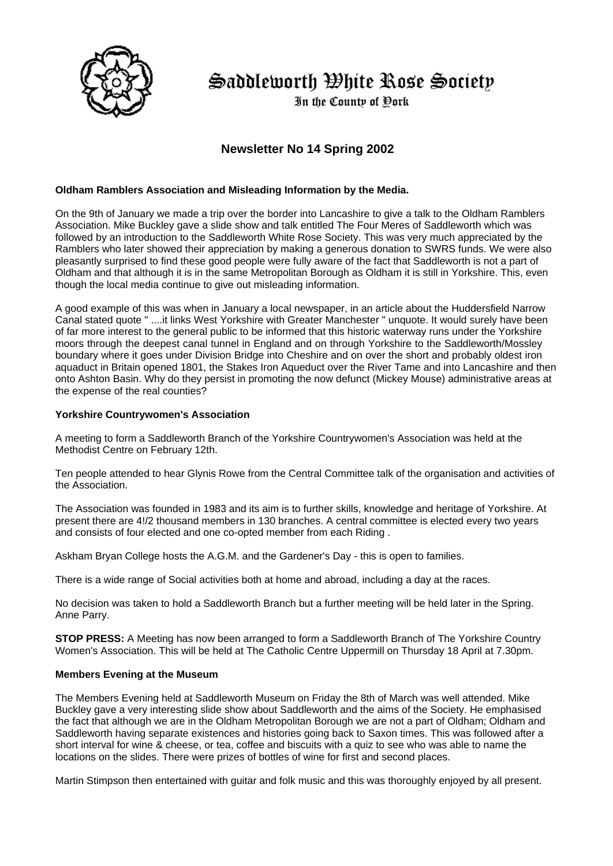

Saddleworth Ohite Rose Society

In the County of Dork

# **Newsletter No 14 Spring 2002**

# **Oldham Ramblers Association and Misleading Information by the Media.**

On the 9th of January we made a trip over the border into Lancashire to give a talk to the Oldham Ramblers Association. Mike Buckley gave a slide show and talk entitled The Four Meres of Saddleworth which was followed by an introduction to the Saddleworth White Rose Society. This was very much appreciated by the Ramblers who later showed their appreciation by making a generous donation to SWRS funds. We were also pleasantly surprised to find these good people were fully aware of the fact that Saddleworth is not a part of Oldham and that although it is in the same Metropolitan Borough as Oldham it is still in Yorkshire. This, even though the local media continue to give out misleading information.

A good example of this was when in January a local newspaper, in an article about the Huddersfield Narrow Canal stated quote " ....it links West Yorkshire with Greater Manchester " unquote. It would surely have been of far more interest to the general public to be informed that this historic waterway runs under the Yorkshire moors through the deepest canal tunnel in England and on through Yorkshire to the Saddleworth/Mossley boundary where it goes under Division Bridge into Cheshire and on over the short and probably oldest iron aquaduct in Britain opened 1801, the Stakes Iron Aqueduct over the River Tame and into Lancashire and then onto Ashton Basin. Why do they persist in promoting the now defunct (Mickey Mouse) administrative areas at the expense of the real counties?

## **Yorkshire Countrywomen's Association**

A meeting to form a Saddleworth Branch of the Yorkshire Countrywomen's Association was held at the Methodist Centre on February 12th.

Ten people attended to hear Glynis Rowe from the Central Committee talk of the organisation and activities of the Association.

The Association was founded in 1983 and its aim is to further skills, knowledge and heritage of Yorkshire. At present there are 4!/2 thousand members in 130 branches. A central committee is elected every two years and consists of four elected and one co-opted member from each Riding .

Askham Bryan College hosts the A.G.M. and the Gardener's Day - this is open to families.

There is a wide range of Social activities both at home and abroad, including a day at the races.

No decision was taken to hold a Saddleworth Branch but a further meeting will be held later in the Spring. Anne Parry.

**STOP PRESS:** A Meeting has now been arranged to form a Saddleworth Branch of The Yorkshire Country Women's Association. This will be held at The Catholic Centre Uppermill on Thursday 18 April at 7.30pm.

## **Members Evening at the Museum**

The Members Evening held at Saddleworth Museum on Friday the 8th of March was well attended. Mike Buckley gave a very interesting slide show about Saddleworth and the aims of the Society. He emphasised the fact that although we are in the Oldham Metropolitan Borough we are not a part of Oldham; Oldham and Saddleworth having separate existences and histories going back to Saxon times. This was followed after a short interval for wine & cheese, or tea, coffee and biscuits with a quiz to see who was able to name the locations on the slides. There were prizes of bottles of wine for first and second places.

Martin Stimpson then entertained with guitar and folk music and this was thoroughly enjoyed by all present.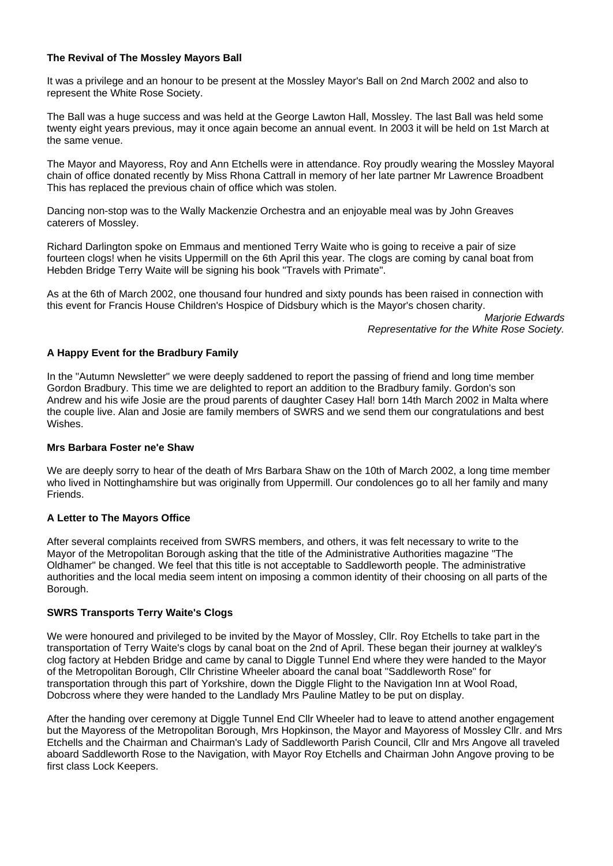# **The Revival of The Mossley Mayors Ball**

It was a privilege and an honour to be present at the Mossley Mayor's Ball on 2nd March 2002 and also to represent the White Rose Society.

The Ball was a huge success and was held at the George Lawton Hall, Mossley. The last Ball was held some twenty eight years previous, may it once again become an annual event. In 2003 it will be held on 1st March at the same venue.

The Mayor and Mayoress, Roy and Ann Etchells were in attendance. Roy proudly wearing the Mossley Mayoral chain of office donated recently by Miss Rhona Cattrall in memory of her late partner Mr Lawrence Broadbent This has replaced the previous chain of office which was stolen.

Dancing non-stop was to the Wally Mackenzie Orchestra and an enjoyable meal was by John Greaves caterers of Mossley.

Richard Darlington spoke on Emmaus and mentioned Terry Waite who is going to receive a pair of size fourteen clogs! when he visits Uppermill on the 6th April this year. The clogs are coming by canal boat from Hebden Bridge Terry Waite will be signing his book "Travels with Primate".

As at the 6th of March 2002, one thousand four hundred and sixty pounds has been raised in connection with this event for Francis House Children's Hospice of Didsbury which is the Mayor's chosen charity.

> *Marjorie Edwards Representative for the White Rose Society.*

# **A Happy Event for the Bradbury Family**

In the "Autumn Newsletter" we were deeply saddened to report the passing of friend and long time member Gordon Bradbury. This time we are delighted to report an addition to the Bradbury family. Gordon's son Andrew and his wife Josie are the proud parents of daughter Casey Hal! born 14th March 2002 in Malta where the couple live. Alan and Josie are family members of SWRS and we send them our congratulations and best Wishes.

#### **Mrs Barbara Foster ne'e Shaw**

We are deeply sorry to hear of the death of Mrs Barbara Shaw on the 10th of March 2002, a long time member who lived in Nottinghamshire but was originally from Uppermill. Our condolences go to all her family and many Friends.

#### **A Letter to The Mayors Office**

After several complaints received from SWRS members, and others, it was felt necessary to write to the Mayor of the Metropolitan Borough asking that the title of the Administrative Authorities magazine "The Oldhamer" be changed. We feel that this title is not acceptable to Saddleworth people. The administrative authorities and the local media seem intent on imposing a common identity of their choosing on all parts of the Borough.

# **SWRS Transports Terry Waite's Clogs**

We were honoured and privileged to be invited by the Mayor of Mossley, Cllr. Roy Etchells to take part in the transportation of Terry Waite's clogs by canal boat on the 2nd of April. These began their journey at walkley's clog factory at Hebden Bridge and came by canal to Diggle Tunnel End where they were handed to the Mayor of the Metropolitan Borough, Cllr Christine Wheeler aboard the canal boat "Saddleworth Rose" for transportation through this part of Yorkshire, down the Diggle Flight to the Navigation Inn at Wool Road, Dobcross where they were handed to the Landlady Mrs Pauline Matley to be put on display.

After the handing over ceremony at Diggle Tunnel End Cllr Wheeler had to leave to attend another engagement but the Mayoress of the Metropolitan Borough, Mrs Hopkinson, the Mayor and Mayoress of Mossley Cllr. and Mrs Etchells and the Chairman and Chairman's Lady of Saddleworth Parish Council, Cllr and Mrs Angove all traveled aboard Saddleworth Rose to the Navigation, with Mayor Roy Etchells and Chairman John Angove proving to be first class Lock Keepers.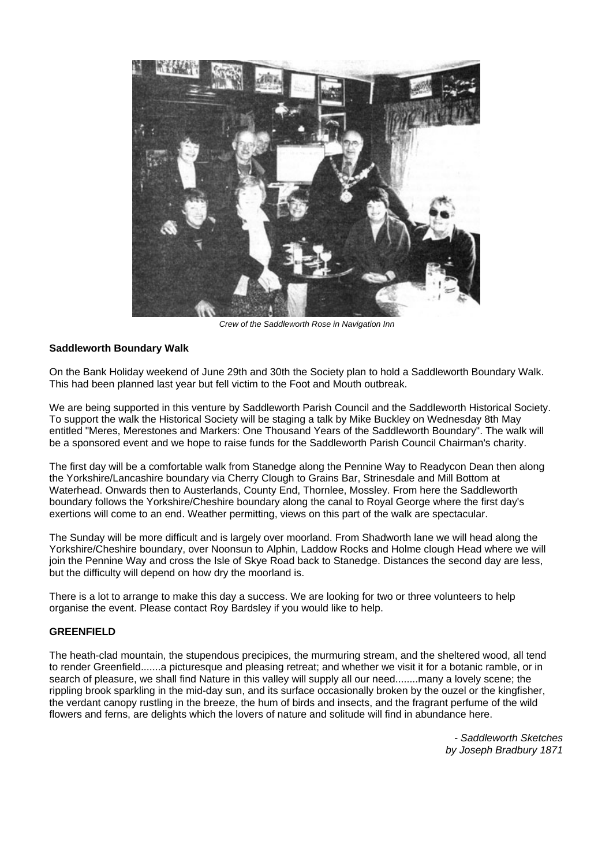

*Crew of the Saddleworth Rose in Navigation Inn*

#### **Saddleworth Boundary Walk**

On the Bank Holiday weekend of June 29th and 30th the Society plan to hold a Saddleworth Boundary Walk. This had been planned last year but fell victim to the Foot and Mouth outbreak.

We are being supported in this venture by Saddleworth Parish Council and the Saddleworth Historical Society. To support the walk the Historical Society will be staging a talk by Mike Buckley on Wednesday 8th May entitled "Meres, Merestones and Markers: One Thousand Years of the Saddleworth Boundary". The walk will be a sponsored event and we hope to raise funds for the Saddleworth Parish Council Chairman's charity.

The first day will be a comfortable walk from Stanedge along the Pennine Way to Readycon Dean then along the Yorkshire/Lancashire boundary via Cherry Clough to Grains Bar, Strinesdale and Mill Bottom at Waterhead. Onwards then to Austerlands, County End, Thornlee, Mossley. From here the Saddleworth boundary follows the Yorkshire/Cheshire boundary along the canal to Royal George where the first day's exertions will come to an end. Weather permitting, views on this part of the walk are spectacular.

The Sunday will be more difficult and is largely over moorland. From Shadworth lane we will head along the Yorkshire/Cheshire boundary, over Noonsun to Alphin, Laddow Rocks and Holme clough Head where we will join the Pennine Way and cross the Isle of Skye Road back to Stanedge. Distances the second day are less, but the difficulty will depend on how dry the moorland is.

There is a lot to arrange to make this day a success. We are looking for two or three volunteers to help organise the event. Please contact Roy Bardsley if you would like to help.

#### **GREENFIELD**

The heath-clad mountain, the stupendous precipices, the murmuring stream, and the sheltered wood, all tend to render Greenfield.......a picturesque and pleasing retreat; and whether we visit it for a botanic ramble, or in search of pleasure, we shall find Nature in this valley will supply all our need........many a lovely scene; the rippling brook sparkling in the mid-day sun, and its surface occasionally broken by the ouzel or the kingfisher, the verdant canopy rustling in the breeze, the hum of birds and insects, and the fragrant perfume of the wild flowers and ferns, are delights which the lovers of nature and solitude will find in abundance here.

> *- Saddleworth Sketches by Joseph Bradbury 1871*